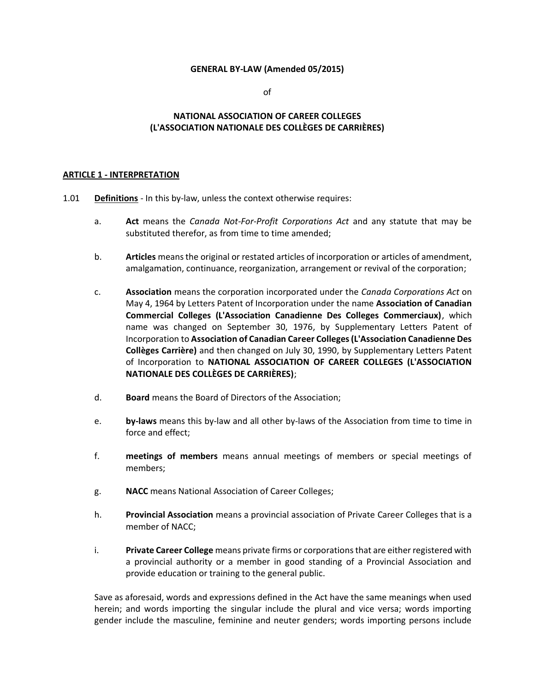#### **GENERAL BY-LAW (Amended 05/2015)**

of

# **NATIONAL ASSOCIATION OF CAREER COLLEGES (L'ASSOCIATION NATIONALE DES COLLÈGES DE CARRIÈRES)**

#### **ARTICLE 1 - INTERPRETATION**

- 1.01 **Definitions** In this by-law, unless the context otherwise requires:
	- a. **Act** means the *Canada Not-For-Profit Corporations Act* and any statute that may be substituted therefor, as from time to time amended;
	- b. **Articles** meansthe original or restated articles of incorporation or articles of amendment, amalgamation, continuance, reorganization, arrangement or revival of the corporation;
	- c. **Association** means the corporation incorporated under the *Canada Corporations Act* on May 4, 1964 by Letters Patent of Incorporation under the name **Association of Canadian Commercial Colleges (L'Association Canadienne Des Colleges Commerciaux)**, which name was changed on September 30, 1976, by Supplementary Letters Patent of Incorporation to **Association of Canadian Career Colleges (L'Association Canadienne Des Collèges Carrière)** and then changed on July 30, 1990, by Supplementary Letters Patent of Incorporation to **NATIONAL ASSOCIATION OF CAREER COLLEGES (L'ASSOCIATION NATIONALE DES COLLÈGES DE CARRIÈRES)**;
	- d. **Board** means the Board of Directors of the Association;
	- e. **by-laws** means this by-law and all other by-laws of the Association from time to time in force and effect;
	- f. **meetings of members** means annual meetings of members or special meetings of members;
	- g. **NACC** means National Association of Career Colleges;
	- h. **Provincial Association** means a provincial association of Private Career Colleges that is a member of NACC;
	- i. **Private Career College** means private firms or corporations that are either registered with a provincial authority or a member in good standing of a Provincial Association and provide education or training to the general public.

Save as aforesaid, words and expressions defined in the Act have the same meanings when used herein; and words importing the singular include the plural and vice versa; words importing gender include the masculine, feminine and neuter genders; words importing persons include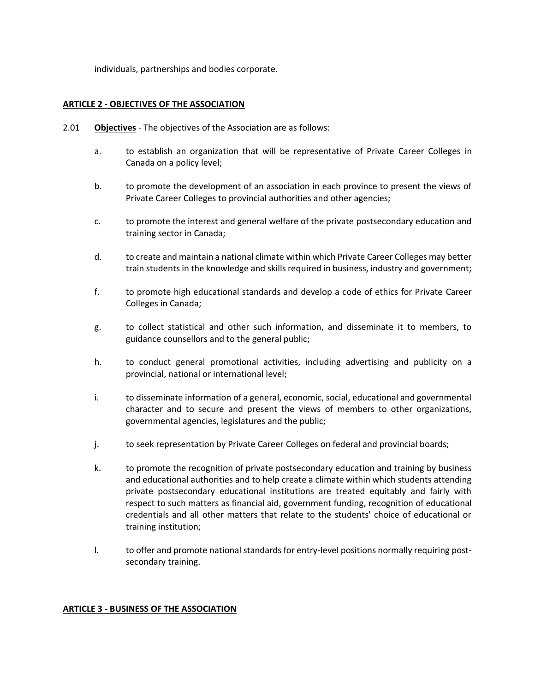individuals, partnerships and bodies corporate.

#### **ARTICLE 2 - OBJECTIVES OF THE ASSOCIATION**

- 2.01 **Objectives** The objectives of the Association are as follows:
	- a. to establish an organization that will be representative of Private Career Colleges in Canada on a policy level;
	- b. to promote the development of an association in each province to present the views of Private Career Colleges to provincial authorities and other agencies;
	- c. to promote the interest and general welfare of the private postsecondary education and training sector in Canada;
	- d. to create and maintain a national climate within which Private Career Colleges may better train students in the knowledge and skills required in business, industry and government;
	- f. to promote high educational standards and develop a code of ethics for Private Career Colleges in Canada;
	- g. to collect statistical and other such information, and disseminate it to members, to guidance counsellors and to the general public;
	- h. to conduct general promotional activities, including advertising and publicity on a provincial, national or international level;
	- i. to disseminate information of a general, economic, social, educational and governmental character and to secure and present the views of members to other organizations, governmental agencies, legislatures and the public;
	- j. to seek representation by Private Career Colleges on federal and provincial boards;
	- k. to promote the recognition of private postsecondary education and training by business and educational authorities and to help create a climate within which students attending private postsecondary educational institutions are treated equitably and fairly with respect to such matters as financial aid, government funding, recognition of educational credentials and all other matters that relate to the students' choice of educational or training institution;
	- l. to offer and promote national standards for entry-level positions normally requiring postsecondary training.

#### **ARTICLE 3 - BUSINESS OF THE ASSOCIATION**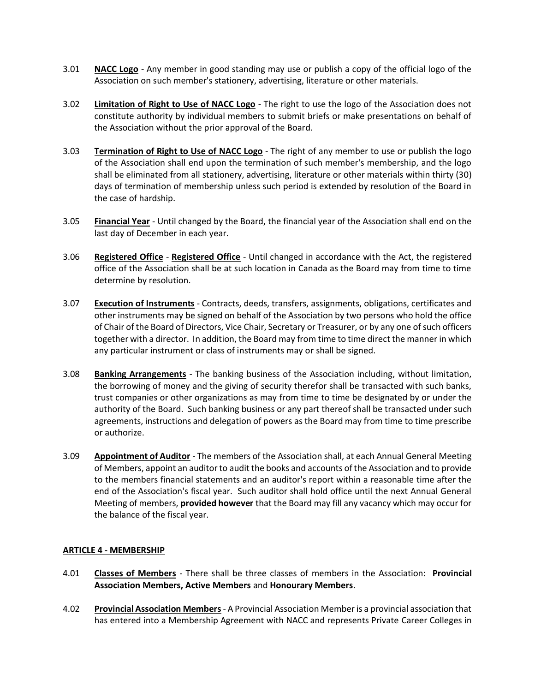- 3.01 **NACC Logo** Any member in good standing may use or publish a copy of the official logo of the Association on such member's stationery, advertising, literature or other materials.
- 3.02 **Limitation of Right to Use of NACC Logo** The right to use the logo of the Association does not constitute authority by individual members to submit briefs or make presentations on behalf of the Association without the prior approval of the Board.
- 3.03 **Termination of Right to Use of NACC Logo** The right of any member to use or publish the logo of the Association shall end upon the termination of such member's membership, and the logo shall be eliminated from all stationery, advertising, literature or other materials within thirty (30) days of termination of membership unless such period is extended by resolution of the Board in the case of hardship.
- 3.05 **Financial Year** Until changed by the Board, the financial year of the Association shall end on the last day of December in each year.
- 3.06 **Registered Office Registered Office** Until changed in accordance with the Act, the registered office of the Association shall be at such location in Canada as the Board may from time to time determine by resolution.
- 3.07 **Execution of Instruments** Contracts, deeds, transfers, assignments, obligations, certificates and other instruments may be signed on behalf of the Association by two persons who hold the office of Chair of the Board of Directors, Vice Chair, Secretary or Treasurer, or by any one of such officers together with a director. In addition, the Board may from time to time direct the manner in which any particular instrument or class of instruments may or shall be signed.
- 3.08 **Banking Arrangements** The banking business of the Association including, without limitation, the borrowing of money and the giving of security therefor shall be transacted with such banks, trust companies or other organizations as may from time to time be designated by or under the authority of the Board. Such banking business or any part thereof shall be transacted under such agreements, instructions and delegation of powers as the Board may from time to time prescribe or authorize.
- 3.09 **Appointment of Auditor** The members of the Association shall, at each Annual General Meeting of Members, appoint an auditor to audit the books and accounts of the Association and to provide to the members financial statements and an auditor's report within a reasonable time after the end of the Association's fiscal year. Such auditor shall hold office until the next Annual General Meeting of members, **provided however** that the Board may fill any vacancy which may occur for the balance of the fiscal year.

## **ARTICLE 4 - MEMBERSHIP**

- 4.01 **Classes of Members** There shall be three classes of members in the Association: **Provincial Association Members, Active Members** and **Honourary Members**.
- 4.02 **Provincial Association Members** A Provincial Association Member is a provincial association that has entered into a Membership Agreement with NACC and represents Private Career Colleges in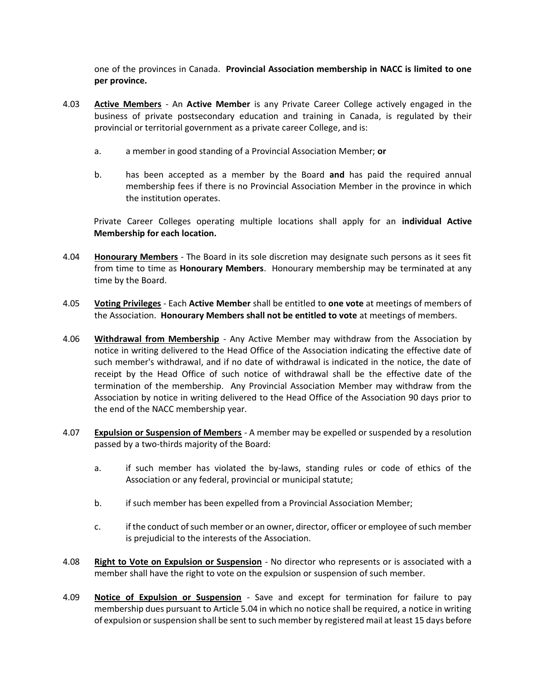one of the provinces in Canada. **Provincial Association membership in NACC is limited to one per province.**

- 4.03 **Active Members** An **Active Member** is any Private Career College actively engaged in the business of private postsecondary education and training in Canada, is regulated by their provincial or territorial government as a private career College, and is:
	- a. a member in good standing of a Provincial Association Member; **or**
	- b. has been accepted as a member by the Board **and** has paid the required annual membership fees if there is no Provincial Association Member in the province in which the institution operates.

Private Career Colleges operating multiple locations shall apply for an **individual Active Membership for each location.**

- 4.04 **Honourary Members** The Board in its sole discretion may designate such persons as it sees fit from time to time as **Honourary Members**. Honourary membership may be terminated at any time by the Board.
- 4.05 **Voting Privileges** Each **Active Member** shall be entitled to **one vote** at meetings of members of the Association. **Honourary Members shall not be entitled to vote** at meetings of members.
- 4.06 **Withdrawal from Membership** Any Active Member may withdraw from the Association by notice in writing delivered to the Head Office of the Association indicating the effective date of such member's withdrawal, and if no date of withdrawal is indicated in the notice, the date of receipt by the Head Office of such notice of withdrawal shall be the effective date of the termination of the membership. Any Provincial Association Member may withdraw from the Association by notice in writing delivered to the Head Office of the Association 90 days prior to the end of the NACC membership year.
- 4.07 **Expulsion or Suspension of Members** A member may be expelled or suspended by a resolution passed by a two-thirds majority of the Board:
	- a. if such member has violated the by-laws, standing rules or code of ethics of the Association or any federal, provincial or municipal statute;
	- b. if such member has been expelled from a Provincial Association Member;
	- c. if the conduct of such member or an owner, director, officer or employee of such member is prejudicial to the interests of the Association.
- 4.08 **Right to Vote on Expulsion or Suspension** No director who represents or is associated with a member shall have the right to vote on the expulsion or suspension of such member.
- 4.09 **Notice of Expulsion or Suspension** Save and except for termination for failure to pay membership dues pursuant to Article 5.04 in which no notice shall be required, a notice in writing of expulsion or suspension shall be sent to such member by registered mail at least 15 days before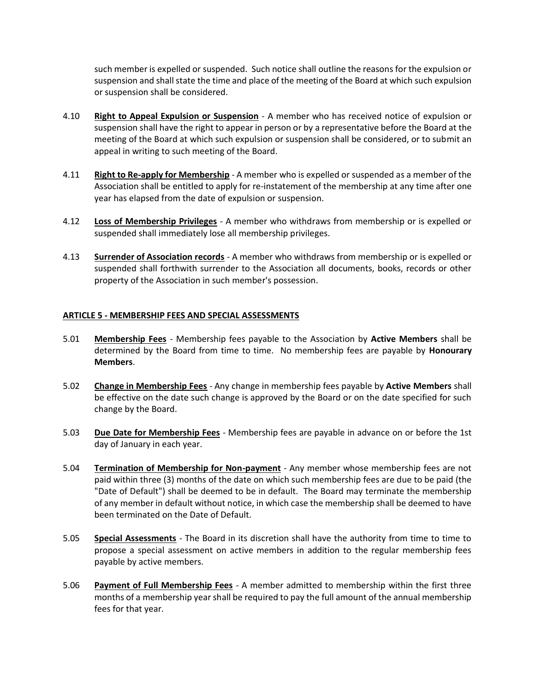such member is expelled or suspended. Such notice shall outline the reasons for the expulsion or suspension and shall state the time and place of the meeting of the Board at which such expulsion or suspension shall be considered.

- 4.10 **Right to Appeal Expulsion or Suspension** A member who has received notice of expulsion or suspension shall have the right to appear in person or by a representative before the Board at the meeting of the Board at which such expulsion or suspension shall be considered, or to submit an appeal in writing to such meeting of the Board.
- 4.11 **Right to Re-apply for Membership** A member who is expelled or suspended as a member of the Association shall be entitled to apply for re-instatement of the membership at any time after one year has elapsed from the date of expulsion or suspension.
- 4.12 **Loss of Membership Privileges** A member who withdraws from membership or is expelled or suspended shall immediately lose all membership privileges.
- 4.13 **Surrender of Association records** A member who withdraws from membership or is expelled or suspended shall forthwith surrender to the Association all documents, books, records or other property of the Association in such member's possession.

## **ARTICLE 5 - MEMBERSHIP FEES AND SPECIAL ASSESSMENTS**

- 5.01 **Membership Fees** Membership fees payable to the Association by **Active Members** shall be determined by the Board from time to time. No membership fees are payable by **Honourary Members**.
- 5.02 **Change in Membership Fees** Any change in membership fees payable by **Active Members** shall be effective on the date such change is approved by the Board or on the date specified for such change by the Board.
- 5.03 **Due Date for Membership Fees** Membership fees are payable in advance on or before the 1st day of January in each year.
- 5.04 **Termination of Membership for Non-payment** Any member whose membership fees are not paid within three (3) months of the date on which such membership fees are due to be paid (the "Date of Default") shall be deemed to be in default. The Board may terminate the membership of any member in default without notice, in which case the membership shall be deemed to have been terminated on the Date of Default.
- 5.05 **Special Assessments** The Board in its discretion shall have the authority from time to time to propose a special assessment on active members in addition to the regular membership fees payable by active members.
- 5.06 **Payment of Full Membership Fees** A member admitted to membership within the first three months of a membership year shall be required to pay the full amount of the annual membership fees for that year.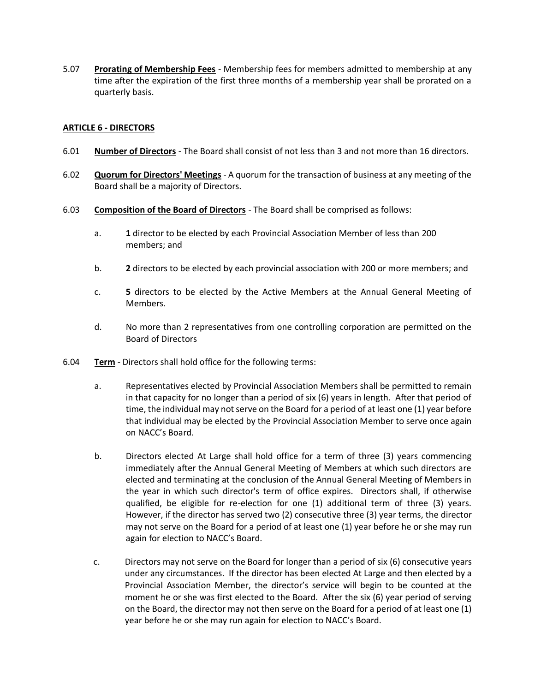5.07 **Prorating of Membership Fees** - Membership fees for members admitted to membership at any time after the expiration of the first three months of a membership year shall be prorated on a quarterly basis.

# **ARTICLE 6 - DIRECTORS**

- 6.01 **Number of Directors** The Board shall consist of not less than 3 and not more than 16 directors.
- 6.02 **Quorum for Directors' Meetings** A quorum for the transaction of business at any meeting of the Board shall be a majority of Directors.
- 6.03 **Composition of the Board of Directors** The Board shall be comprised as follows:
	- a. **1** director to be elected by each Provincial Association Member of less than 200 members; and
	- b. **2** directors to be elected by each provincial association with 200 or more members; and
	- c. **5** directors to be elected by the Active Members at the Annual General Meeting of Members.
	- d. No more than 2 representatives from one controlling corporation are permitted on the Board of Directors
- 6.04 **Term** Directors shall hold office for the following terms:
	- a. Representatives elected by Provincial Association Members shall be permitted to remain in that capacity for no longer than a period of six (6) years in length. After that period of time, the individual may not serve on the Board for a period of at least one (1) year before that individual may be elected by the Provincial Association Member to serve once again on NACC's Board.
	- b. Directors elected At Large shall hold office for a term of three (3) years commencing immediately after the Annual General Meeting of Members at which such directors are elected and terminating at the conclusion of the Annual General Meeting of Members in the year in which such director's term of office expires. Directors shall, if otherwise qualified, be eligible for re-election for one (1) additional term of three (3) years. However, if the director has served two (2) consecutive three (3) year terms, the director may not serve on the Board for a period of at least one (1) year before he or she may run again for election to NACC's Board.
	- c. Directors may not serve on the Board for longer than a period of six (6) consecutive years under any circumstances. If the director has been elected At Large and then elected by a Provincial Association Member, the director's service will begin to be counted at the moment he or she was first elected to the Board. After the six (6) year period of serving on the Board, the director may not then serve on the Board for a period of at least one (1) year before he or she may run again for election to NACC's Board.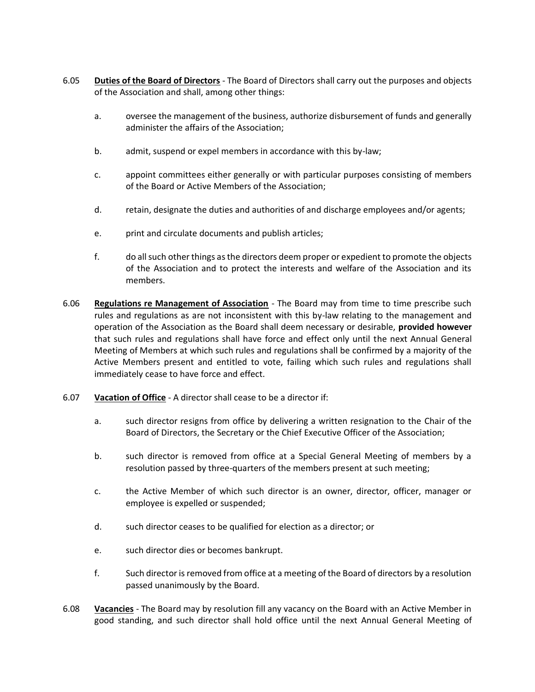- 6.05 **Duties of the Board of Directors** The Board of Directors shall carry out the purposes and objects of the Association and shall, among other things:
	- a. oversee the management of the business, authorize disbursement of funds and generally administer the affairs of the Association;
	- b. admit, suspend or expel members in accordance with this by-law;
	- c. appoint committees either generally or with particular purposes consisting of members of the Board or Active Members of the Association;
	- d. retain, designate the duties and authorities of and discharge employees and/or agents;
	- e. print and circulate documents and publish articles;
	- f. do all such other things as the directors deem proper or expedient to promote the objects of the Association and to protect the interests and welfare of the Association and its members.
- 6.06 **Regulations re Management of Association** The Board may from time to time prescribe such rules and regulations as are not inconsistent with this by-law relating to the management and operation of the Association as the Board shall deem necessary or desirable, **provided however** that such rules and regulations shall have force and effect only until the next Annual General Meeting of Members at which such rules and regulations shall be confirmed by a majority of the Active Members present and entitled to vote, failing which such rules and regulations shall immediately cease to have force and effect.
- 6.07 **Vacation of Office** A director shall cease to be a director if:
	- a. such director resigns from office by delivering a written resignation to the Chair of the Board of Directors, the Secretary or the Chief Executive Officer of the Association;
	- b. such director is removed from office at a Special General Meeting of members by a resolution passed by three-quarters of the members present at such meeting;
	- c. the Active Member of which such director is an owner, director, officer, manager or employee is expelled or suspended;
	- d. such director ceases to be qualified for election as a director; or
	- e. such director dies or becomes bankrupt.
	- f. Such director is removed from office at a meeting of the Board of directors by a resolution passed unanimously by the Board.
- 6.08 **Vacancies** The Board may by resolution fill any vacancy on the Board with an Active Member in good standing, and such director shall hold office until the next Annual General Meeting of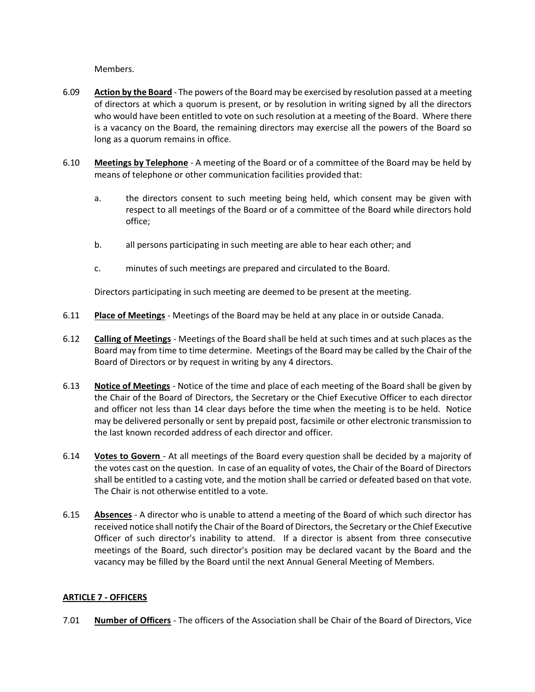Members.

- 6.09 **Action by the Board** The powers of the Board may be exercised by resolution passed at a meeting of directors at which a quorum is present, or by resolution in writing signed by all the directors who would have been entitled to vote on such resolution at a meeting of the Board. Where there is a vacancy on the Board, the remaining directors may exercise all the powers of the Board so long as a quorum remains in office.
- 6.10 **Meetings by Telephone** A meeting of the Board or of a committee of the Board may be held by means of telephone or other communication facilities provided that:
	- a. the directors consent to such meeting being held, which consent may be given with respect to all meetings of the Board or of a committee of the Board while directors hold office;
	- b. all persons participating in such meeting are able to hear each other; and
	- c. minutes of such meetings are prepared and circulated to the Board.

Directors participating in such meeting are deemed to be present at the meeting.

- 6.11 **Place of Meetings** Meetings of the Board may be held at any place in or outside Canada.
- 6.12 **Calling of Meetings** Meetings of the Board shall be held at such times and at such places as the Board may from time to time determine. Meetings of the Board may be called by the Chair of the Board of Directors or by request in writing by any 4 directors.
- 6.13 **Notice of Meetings** Notice of the time and place of each meeting of the Board shall be given by the Chair of the Board of Directors, the Secretary or the Chief Executive Officer to each director and officer not less than 14 clear days before the time when the meeting is to be held. Notice may be delivered personally or sent by prepaid post, facsimile or other electronic transmission to the last known recorded address of each director and officer.
- 6.14 **Votes to Govern**  At all meetings of the Board every question shall be decided by a majority of the votes cast on the question. In case of an equality of votes, the Chair of the Board of Directors shall be entitled to a casting vote, and the motion shall be carried or defeated based on that vote. The Chair is not otherwise entitled to a vote.
- 6.15 **Absences** A director who is unable to attend a meeting of the Board of which such director has received notice shall notify the Chair of the Board of Directors, the Secretary or the Chief Executive Officer of such director's inability to attend. If a director is absent from three consecutive meetings of the Board, such director's position may be declared vacant by the Board and the vacancy may be filled by the Board until the next Annual General Meeting of Members.

## **ARTICLE 7 - OFFICERS**

7.01 **Number of Officers** - The officers of the Association shall be Chair of the Board of Directors, Vice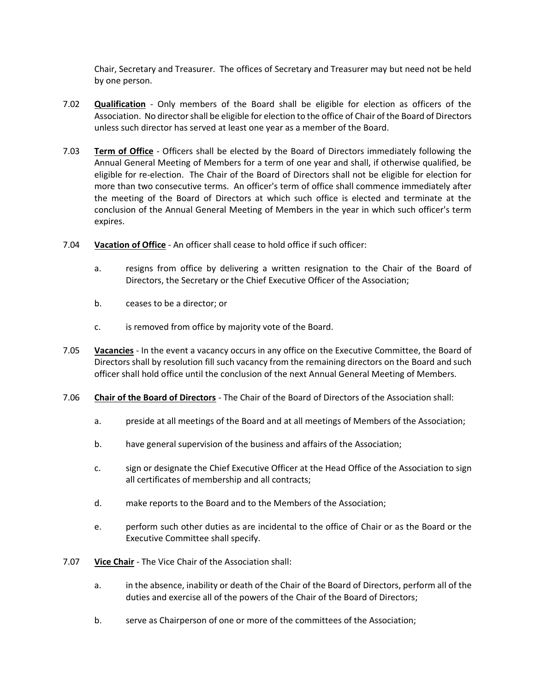Chair, Secretary and Treasurer. The offices of Secretary and Treasurer may but need not be held by one person.

- 7.02 **Qualification** Only members of the Board shall be eligible for election as officers of the Association. No director shall be eligible for election to the office of Chair of the Board of Directors unless such director has served at least one year as a member of the Board.
- 7.03 **Term of Office** Officers shall be elected by the Board of Directors immediately following the Annual General Meeting of Members for a term of one year and shall, if otherwise qualified, be eligible for re-election. The Chair of the Board of Directors shall not be eligible for election for more than two consecutive terms. An officer's term of office shall commence immediately after the meeting of the Board of Directors at which such office is elected and terminate at the conclusion of the Annual General Meeting of Members in the year in which such officer's term expires.
- 7.04 **Vacation of Office** An officer shall cease to hold office if such officer:
	- a. resigns from office by delivering a written resignation to the Chair of the Board of Directors, the Secretary or the Chief Executive Officer of the Association;
	- b. ceases to be a director; or
	- c. is removed from office by majority vote of the Board.
- 7.05 **Vacancies** In the event a vacancy occurs in any office on the Executive Committee, the Board of Directors shall by resolution fill such vacancy from the remaining directors on the Board and such officer shall hold office until the conclusion of the next Annual General Meeting of Members.
- 7.06 **Chair of the Board of Directors** The Chair of the Board of Directors of the Association shall:
	- a. preside at all meetings of the Board and at all meetings of Members of the Association;
	- b. have general supervision of the business and affairs of the Association;
	- c. sign or designate the Chief Executive Officer at the Head Office of the Association to sign all certificates of membership and all contracts;
	- d. make reports to the Board and to the Members of the Association;
	- e. perform such other duties as are incidental to the office of Chair or as the Board or the Executive Committee shall specify.
- 7.07 **Vice Chair** The Vice Chair of the Association shall:
	- a. in the absence, inability or death of the Chair of the Board of Directors, perform all of the duties and exercise all of the powers of the Chair of the Board of Directors;
	- b. serve as Chairperson of one or more of the committees of the Association;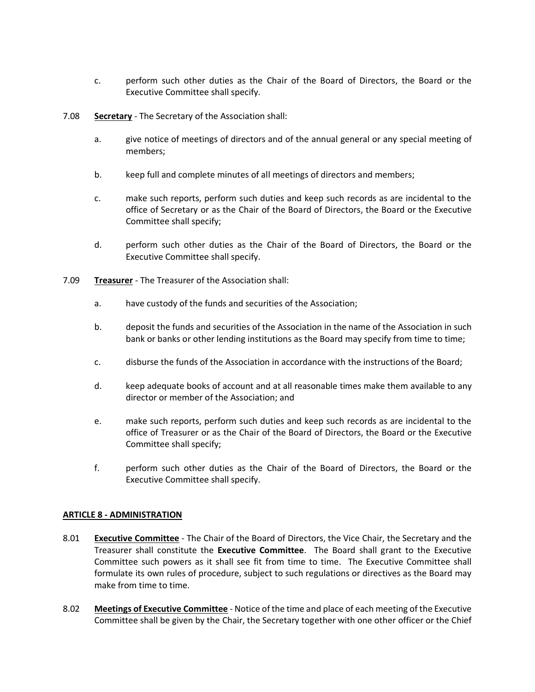- c. perform such other duties as the Chair of the Board of Directors, the Board or the Executive Committee shall specify.
- 7.08 **Secretary** The Secretary of the Association shall:
	- a. give notice of meetings of directors and of the annual general or any special meeting of members;
	- b. keep full and complete minutes of all meetings of directors and members;
	- c. make such reports, perform such duties and keep such records as are incidental to the office of Secretary or as the Chair of the Board of Directors, the Board or the Executive Committee shall specify;
	- d. perform such other duties as the Chair of the Board of Directors, the Board or the Executive Committee shall specify.
- 7.09 **Treasurer** The Treasurer of the Association shall:
	- a. have custody of the funds and securities of the Association;
	- b. deposit the funds and securities of the Association in the name of the Association in such bank or banks or other lending institutions as the Board may specify from time to time;
	- c. disburse the funds of the Association in accordance with the instructions of the Board;
	- d. keep adequate books of account and at all reasonable times make them available to any director or member of the Association; and
	- e. make such reports, perform such duties and keep such records as are incidental to the office of Treasurer or as the Chair of the Board of Directors, the Board or the Executive Committee shall specify;
	- f. perform such other duties as the Chair of the Board of Directors, the Board or the Executive Committee shall specify.

## **ARTICLE 8 - ADMINISTRATION**

- 8.01 **Executive Committee** The Chair of the Board of Directors, the Vice Chair, the Secretary and the Treasurer shall constitute the **Executive Committee**. The Board shall grant to the Executive Committee such powers as it shall see fit from time to time. The Executive Committee shall formulate its own rules of procedure, subject to such regulations or directives as the Board may make from time to time.
- 8.02 **Meetings of Executive Committee** Notice of the time and place of each meeting of the Executive Committee shall be given by the Chair, the Secretary together with one other officer or the Chief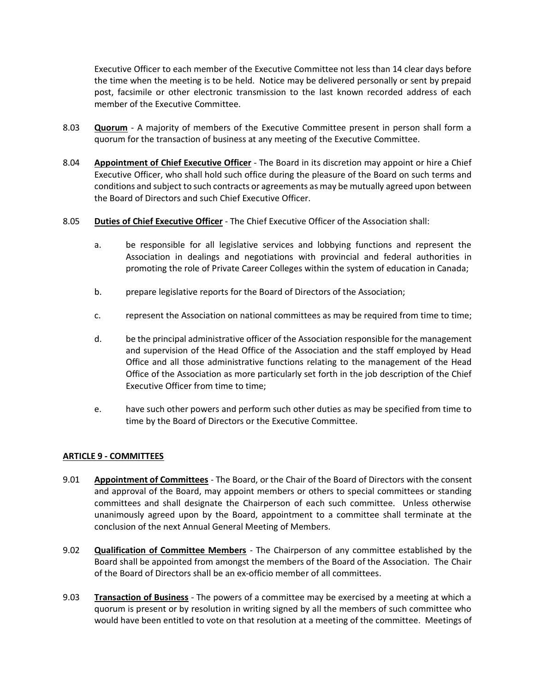Executive Officer to each member of the Executive Committee not less than 14 clear days before the time when the meeting is to be held. Notice may be delivered personally or sent by prepaid post, facsimile or other electronic transmission to the last known recorded address of each member of the Executive Committee.

- 8.03 **Quorum** A majority of members of the Executive Committee present in person shall form a quorum for the transaction of business at any meeting of the Executive Committee.
- 8.04 **Appointment of Chief Executive Officer** The Board in its discretion may appoint or hire a Chief Executive Officer, who shall hold such office during the pleasure of the Board on such terms and conditions and subject to such contracts or agreements as may be mutually agreed upon between the Board of Directors and such Chief Executive Officer.
- 8.05 **Duties of Chief Executive Officer** The Chief Executive Officer of the Association shall:
	- a. be responsible for all legislative services and lobbying functions and represent the Association in dealings and negotiations with provincial and federal authorities in promoting the role of Private Career Colleges within the system of education in Canada;
	- b. prepare legislative reports for the Board of Directors of the Association;
	- c. represent the Association on national committees as may be required from time to time;
	- d. be the principal administrative officer of the Association responsible for the management and supervision of the Head Office of the Association and the staff employed by Head Office and all those administrative functions relating to the management of the Head Office of the Association as more particularly set forth in the job description of the Chief Executive Officer from time to time;
	- e. have such other powers and perform such other duties as may be specified from time to time by the Board of Directors or the Executive Committee.

## **ARTICLE 9 - COMMITTEES**

- 9.01 **Appointment of Committees** The Board, or the Chair of the Board of Directors with the consent and approval of the Board, may appoint members or others to special committees or standing committees and shall designate the Chairperson of each such committee. Unless otherwise unanimously agreed upon by the Board, appointment to a committee shall terminate at the conclusion of the next Annual General Meeting of Members.
- 9.02 **Qualification of Committee Members** The Chairperson of any committee established by the Board shall be appointed from amongst the members of the Board of the Association. The Chair of the Board of Directors shall be an ex-officio member of all committees.
- 9.03 **Transaction of Business** The powers of a committee may be exercised by a meeting at which a quorum is present or by resolution in writing signed by all the members of such committee who would have been entitled to vote on that resolution at a meeting of the committee. Meetings of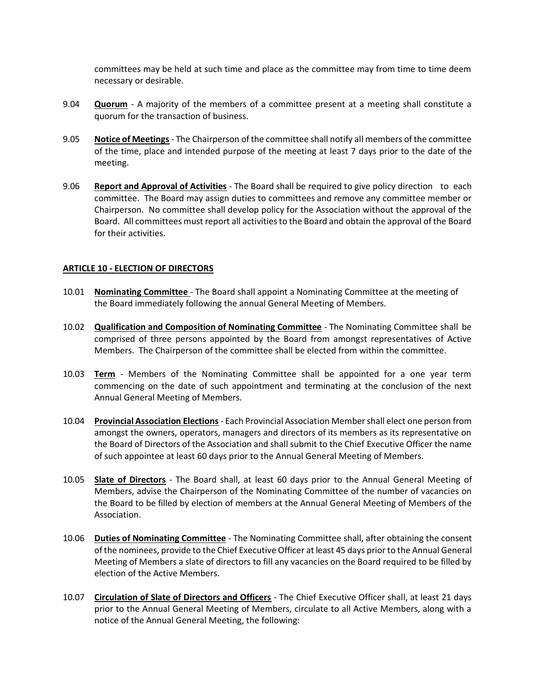committees may be held at such time and place as the committee may from time to time deem necessary or desirable.

- 9.04 **Quorum** A majority of the members of a committee present at a meeting shall constitute a quorum for the transaction of business.
- 9.05 **Notice of Meetings** The Chairperson of the committee shall notify all members of the committee of the time, place and intended purpose of the meeting at least 7 days prior to the date of the meeting.
- 9.06 **Report and Approval of Activities** The Board shall be required to give policy direction to each committee. The Board may assign duties to committees and remove any committee member or Chairperson. No committee shall develop policy for the Association without the approval of the Board. All committees must report all activities to the Board and obtain the approval of the Board for their activities.

#### **ARTICLE 10 - ELECTION OF DIRECTORS**

- 10.01 **Nominating Committee**  The Board shall appoint a Nominating Committee at the meeting of the Board immediately following the annual General Meeting of Members.
- 10.02 **Qualification and Composition of Nominating Committee** The Nominating Committee shall be comprised of three persons appointed by the Board from amongst representatives of Active Members. The Chairperson of the committee shall be elected from within the committee.
- 10.03 **Term** Members of the Nominating Committee shall be appointed for a one year term commencing on the date of such appointment and terminating at the conclusion of the next Annual General Meeting of Members.
- 10.04 **Provincial Association Elections** Each Provincial Association Member shall elect one person from amongst the owners, operators, managers and directors of its members as its representative on the Board of Directors of the Association and shall submit to the Chief Executive Officer the name of such appointee at least 60 days prior to the Annual General Meeting of Members.
- 10.05 **Slate of Directors** The Board shall, at least 60 days prior to the Annual General Meeting of Members, advise the Chairperson of the Nominating Committee of the number of vacancies on the Board to be filled by election of members at the Annual General Meeting of Members of the Association.
- 10.06 **Duties of Nominating Committee** The Nominating Committee shall, after obtaining the consent of the nominees, provide to the Chief Executive Officer at least 45 days prior to the Annual General Meeting of Members a slate of directors to fill any vacancies on the Board required to be filled by election of the Active Members.
- 10.07 **Circulation of Slate of Directors and Officers** The Chief Executive Officer shall, at least 21 days prior to the Annual General Meeting of Members, circulate to all Active Members, along with a notice of the Annual General Meeting, the following: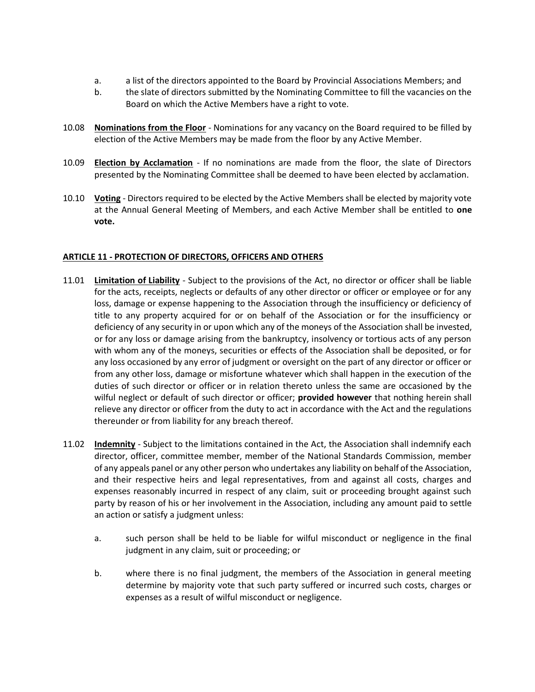- a. a list of the directors appointed to the Board by Provincial Associations Members; and
- b. the slate of directors submitted by the Nominating Committee to fill the vacancies on the Board on which the Active Members have a right to vote.
- 10.08 **Nominations from the Floor** Nominations for any vacancy on the Board required to be filled by election of the Active Members may be made from the floor by any Active Member.
- 10.09 **Election by Acclamation** If no nominations are made from the floor, the slate of Directors presented by the Nominating Committee shall be deemed to have been elected by acclamation.
- 10.10 **Voting** Directors required to be elected by the Active Members shall be elected by majority vote at the Annual General Meeting of Members, and each Active Member shall be entitled to **one vote.**

# **ARTICLE 11 - PROTECTION OF DIRECTORS, OFFICERS AND OTHERS**

- 11.01 **Limitation of Liability** Subject to the provisions of the Act, no director or officer shall be liable for the acts, receipts, neglects or defaults of any other director or officer or employee or for any loss, damage or expense happening to the Association through the insufficiency or deficiency of title to any property acquired for or on behalf of the Association or for the insufficiency or deficiency of any security in or upon which any of the moneys of the Association shall be invested, or for any loss or damage arising from the bankruptcy, insolvency or tortious acts of any person with whom any of the moneys, securities or effects of the Association shall be deposited, or for any loss occasioned by any error of judgment or oversight on the part of any director or officer or from any other loss, damage or misfortune whatever which shall happen in the execution of the duties of such director or officer or in relation thereto unless the same are occasioned by the wilful neglect or default of such director or officer; **provided however** that nothing herein shall relieve any director or officer from the duty to act in accordance with the Act and the regulations thereunder or from liability for any breach thereof.
- 11.02 **Indemnity** Subject to the limitations contained in the Act, the Association shall indemnify each director, officer, committee member, member of the National Standards Commission, member of any appeals panel or any other person who undertakes any liability on behalf of the Association, and their respective heirs and legal representatives, from and against all costs, charges and expenses reasonably incurred in respect of any claim, suit or proceeding brought against such party by reason of his or her involvement in the Association, including any amount paid to settle an action or satisfy a judgment unless:
	- a. such person shall be held to be liable for wilful misconduct or negligence in the final judgment in any claim, suit or proceeding; or
	- b. where there is no final judgment, the members of the Association in general meeting determine by majority vote that such party suffered or incurred such costs, charges or expenses as a result of wilful misconduct or negligence.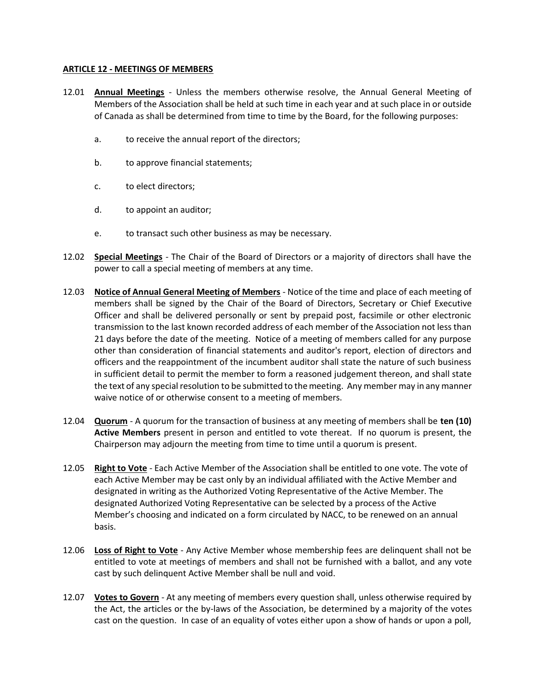#### **ARTICLE 12 - MEETINGS OF MEMBERS**

- 12.01 **Annual Meetings** Unless the members otherwise resolve, the Annual General Meeting of Members of the Association shall be held at such time in each year and at such place in or outside of Canada as shall be determined from time to time by the Board, for the following purposes:
	- a. to receive the annual report of the directors;
	- b. to approve financial statements;
	- c. to elect directors;
	- d. to appoint an auditor;
	- e. to transact such other business as may be necessary.
- 12.02 **Special Meetings** The Chair of the Board of Directors or a majority of directors shall have the power to call a special meeting of members at any time.
- 12.03 **Notice of Annual General Meeting of Members** Notice of the time and place of each meeting of members shall be signed by the Chair of the Board of Directors, Secretary or Chief Executive Officer and shall be delivered personally or sent by prepaid post, facsimile or other electronic transmission to the last known recorded address of each member of the Association not less than 21 days before the date of the meeting. Notice of a meeting of members called for any purpose other than consideration of financial statements and auditor's report, election of directors and officers and the reappointment of the incumbent auditor shall state the nature of such business in sufficient detail to permit the member to form a reasoned judgement thereon, and shall state the text of any special resolution to be submitted to the meeting. Any member may in any manner waive notice of or otherwise consent to a meeting of members.
- 12.04 **Quorum** A quorum for the transaction of business at any meeting of members shall be **ten (10) Active Members** present in person and entitled to vote thereat. If no quorum is present, the Chairperson may adjourn the meeting from time to time until a quorum is present.
- 12.05 **Right to Vote** Each Active Member of the Association shall be entitled to one vote. The vote of each Active Member may be cast only by an individual affiliated with the Active Member and designated in writing as the Authorized Voting Representative of the Active Member. The designated Authorized Voting Representative can be selected by a process of the Active Member's choosing and indicated on a form circulated by NACC, to be renewed on an annual basis.
- 12.06 **Loss of Right to Vote** Any Active Member whose membership fees are delinquent shall not be entitled to vote at meetings of members and shall not be furnished with a ballot, and any vote cast by such delinquent Active Member shall be null and void.
- 12.07 **Votes to Govern** At any meeting of members every question shall, unless otherwise required by the Act, the articles or the by-laws of the Association, be determined by a majority of the votes cast on the question. In case of an equality of votes either upon a show of hands or upon a poll,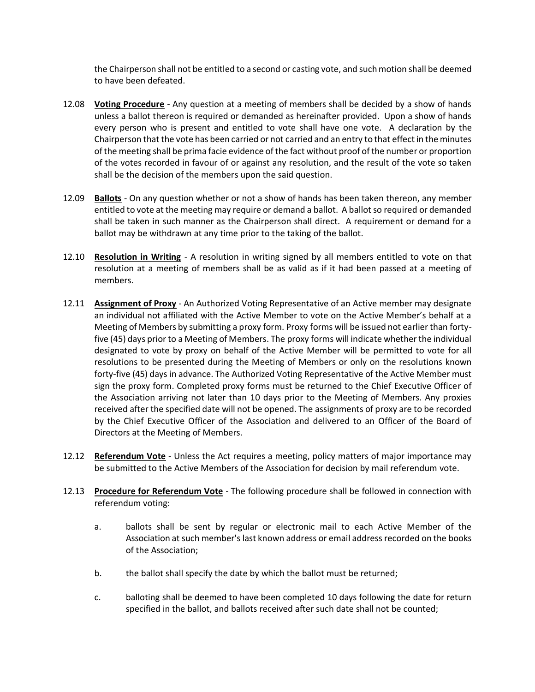the Chairperson shall not be entitled to a second or casting vote, and such motion shall be deemed to have been defeated.

- 12.08 **Voting Procedure** Any question at a meeting of members shall be decided by a show of hands unless a ballot thereon is required or demanded as hereinafter provided. Upon a show of hands every person who is present and entitled to vote shall have one vote. A declaration by the Chairperson that the vote has been carried or not carried and an entry to that effect in the minutes of the meeting shall be prima facie evidence of the fact without proof of the number or proportion of the votes recorded in favour of or against any resolution, and the result of the vote so taken shall be the decision of the members upon the said question.
- 12.09 **Ballots** On any question whether or not a show of hands has been taken thereon, any member entitled to vote at the meeting may require or demand a ballot. A ballot so required or demanded shall be taken in such manner as the Chairperson shall direct. A requirement or demand for a ballot may be withdrawn at any time prior to the taking of the ballot.
- 12.10 **Resolution in Writing** A resolution in writing signed by all members entitled to vote on that resolution at a meeting of members shall be as valid as if it had been passed at a meeting of members.
- 12.11 **Assignment of Proxy** An Authorized Voting Representative of an Active member may designate an individual not affiliated with the Active Member to vote on the Active Member's behalf at a Meeting of Members by submitting a proxy form. Proxy forms will be issued not earlier than fortyfive (45) days prior to a Meeting of Members. The proxy forms will indicate whether the individual designated to vote by proxy on behalf of the Active Member will be permitted to vote for all resolutions to be presented during the Meeting of Members or only on the resolutions known forty-five (45) days in advance. The Authorized Voting Representative of the Active Member must sign the proxy form. Completed proxy forms must be returned to the Chief Executive Officer of the Association arriving not later than 10 days prior to the Meeting of Members. Any proxies received after the specified date will not be opened. The assignments of proxy are to be recorded by the Chief Executive Officer of the Association and delivered to an Officer of the Board of Directors at the Meeting of Members.
- 12.12 **Referendum Vote** Unless the Act requires a meeting, policy matters of major importance may be submitted to the Active Members of the Association for decision by mail referendum vote.
- 12.13 **Procedure for Referendum Vote** The following procedure shall be followed in connection with referendum voting:
	- a. ballots shall be sent by regular or electronic mail to each Active Member of the Association at such member's last known address or email address recorded on the books of the Association;
	- b. the ballot shall specify the date by which the ballot must be returned;
	- c. balloting shall be deemed to have been completed 10 days following the date for return specified in the ballot, and ballots received after such date shall not be counted;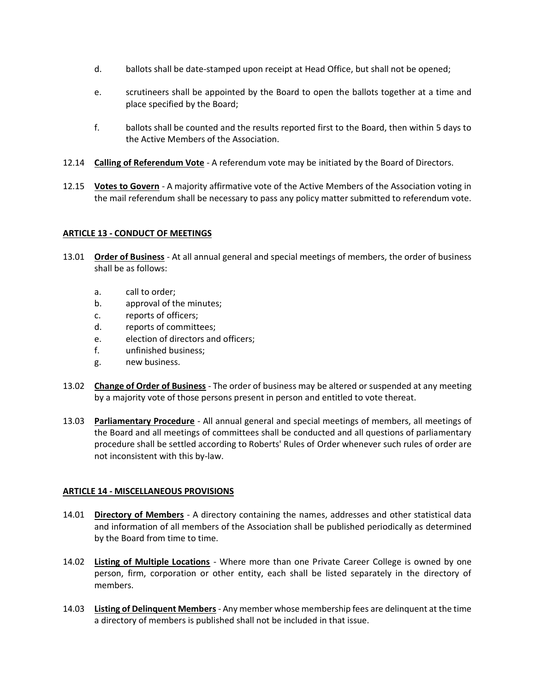- d. ballots shall be date-stamped upon receipt at Head Office, but shall not be opened;
- e. scrutineers shall be appointed by the Board to open the ballots together at a time and place specified by the Board;
- f. ballots shall be counted and the results reported first to the Board, then within 5 days to the Active Members of the Association.
- 12.14 **Calling of Referendum Vote** A referendum vote may be initiated by the Board of Directors.
- 12.15 **Votes to Govern** A majority affirmative vote of the Active Members of the Association voting in the mail referendum shall be necessary to pass any policy matter submitted to referendum vote.

## **ARTICLE 13 - CONDUCT OF MEETINGS**

- 13.01 **Order of Business** At all annual general and special meetings of members, the order of business shall be as follows:
	- a. call to order;
	- b. approval of the minutes;
	- c. reports of officers;
	- d. reports of committees;
	- e. election of directors and officers;
	- f. unfinished business;
	- g. new business.
- 13.02 **Change of Order of Business** The order of business may be altered or suspended at any meeting by a majority vote of those persons present in person and entitled to vote thereat.
- 13.03 **Parliamentary Procedure** All annual general and special meetings of members, all meetings of the Board and all meetings of committees shall be conducted and all questions of parliamentary procedure shall be settled according to Roberts' Rules of Order whenever such rules of order are not inconsistent with this by-law.

## **ARTICLE 14 - MISCELLANEOUS PROVISIONS**

- 14.01 **Directory of Members** A directory containing the names, addresses and other statistical data and information of all members of the Association shall be published periodically as determined by the Board from time to time.
- 14.02 **Listing of Multiple Locations** Where more than one Private Career College is owned by one person, firm, corporation or other entity, each shall be listed separately in the directory of members.
- 14.03 **Listing of Delinquent Members** Any member whose membership fees are delinquent at the time a directory of members is published shall not be included in that issue.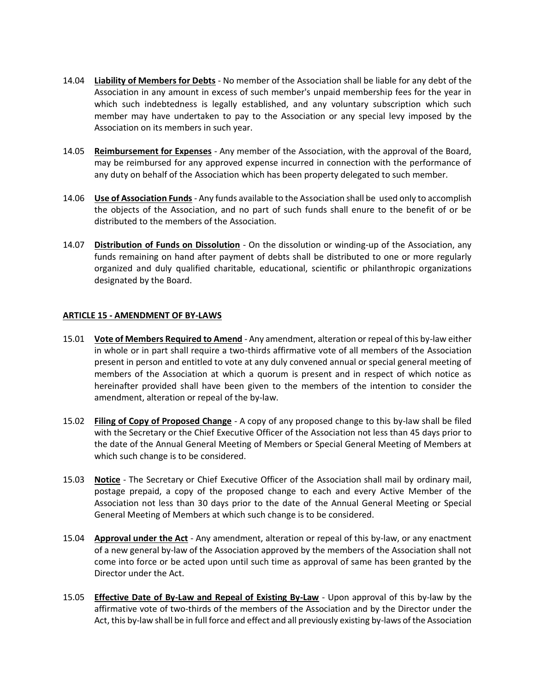- 14.04 **Liability of Members for Debts** No member of the Association shall be liable for any debt of the Association in any amount in excess of such member's unpaid membership fees for the year in which such indebtedness is legally established, and any voluntary subscription which such member may have undertaken to pay to the Association or any special levy imposed by the Association on its members in such year.
- 14.05 **Reimbursement for Expenses** Any member of the Association, with the approval of the Board, may be reimbursed for any approved expense incurred in connection with the performance of any duty on behalf of the Association which has been property delegated to such member.
- 14.06 **Use of Association Funds** Any funds available to the Association shall be used only to accomplish the objects of the Association, and no part of such funds shall enure to the benefit of or be distributed to the members of the Association.
- 14.07 **Distribution of Funds on Dissolution** On the dissolution or winding-up of the Association, any funds remaining on hand after payment of debts shall be distributed to one or more regularly organized and duly qualified charitable, educational, scientific or philanthropic organizations designated by the Board.

## **ARTICLE 15 - AMENDMENT OF BY-LAWS**

- 15.01 **Vote of Members Required to Amend** Any amendment, alteration or repeal of this by-law either in whole or in part shall require a two-thirds affirmative vote of all members of the Association present in person and entitled to vote at any duly convened annual or special general meeting of members of the Association at which a quorum is present and in respect of which notice as hereinafter provided shall have been given to the members of the intention to consider the amendment, alteration or repeal of the by-law.
- 15.02 **Filing of Copy of Proposed Change** A copy of any proposed change to this by-law shall be filed with the Secretary or the Chief Executive Officer of the Association not less than 45 days prior to the date of the Annual General Meeting of Members or Special General Meeting of Members at which such change is to be considered.
- 15.03 **Notice** The Secretary or Chief Executive Officer of the Association shall mail by ordinary mail, postage prepaid, a copy of the proposed change to each and every Active Member of the Association not less than 30 days prior to the date of the Annual General Meeting or Special General Meeting of Members at which such change is to be considered.
- 15.04 **Approval under the Act** Any amendment, alteration or repeal of this by-law, or any enactment of a new general by-law of the Association approved by the members of the Association shall not come into force or be acted upon until such time as approval of same has been granted by the Director under the Act.
- 15.05 **Effective Date of By-Law and Repeal of Existing By-Law** Upon approval of this by-law by the affirmative vote of two-thirds of the members of the Association and by the Director under the Act, this by-law shall be in full force and effect and all previously existing by-laws of the Association